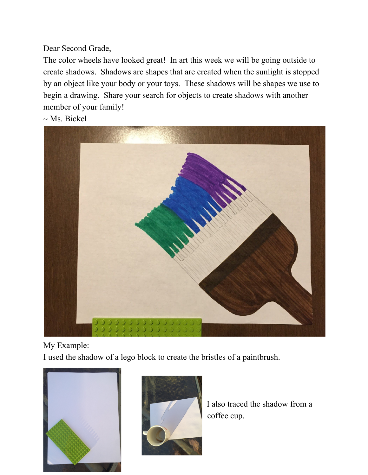Dear Second Grade,

The color wheels have looked great! In art this week we will be going outside to create shadows. Shadows are shapes that are created when the sunlight is stopped by an object like your body or your toys. These shadows will be shapes we use to begin a drawing. Share your search for objects to create shadows with another member of your family!

 $\sim$  Ms. Bickel



My Example:

I used the shadow of a lego block to create the bristles of a paintbrush.





I also traced the shadow from a coffee cup.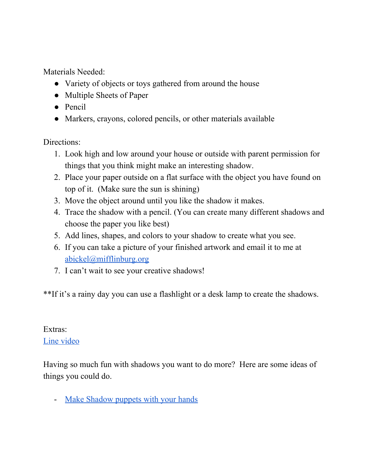Materials Needed:

- Variety of objects or toys gathered from around the house
- Multiple Sheets of Paper
- Pencil
- Markers, crayons, colored pencils, or other materials available

Directions:

- 1. Look high and low around your house or outside with parent permission for things that you think might make an interesting shadow.
- 2. Place your paper outside on a flat surface with the object you have found on top of it. (Make sure the sun is shining)
- 3. Move the object around until you like the shadow it makes.
- 4. Trace the shadow with a pencil. (You can create many different shadows and choose the paper you like best)
- 5. Add lines, shapes, and colors to your shadow to create what you see.
- 6. If you can take a picture of your finished artwork and email it to me at [abickel@mifflinburg.org](mailto:abickel@mifflinburg.org)
- 7. I can't wait to see your creative shadows!

\*\*If it's a rainy day you can use a flashlight or a desk lamp to create the shadows.

## Extras:

## Line [video](https://www.youtube.com/watch?v=DQEVllmeWH4)

Having so much fun with shadows you want to do more? Here are some ideas of things you could do.

- Make [Shadow](https://www.youtube.com/watch?v=Uv-MdaBfk8U) puppets with your hands